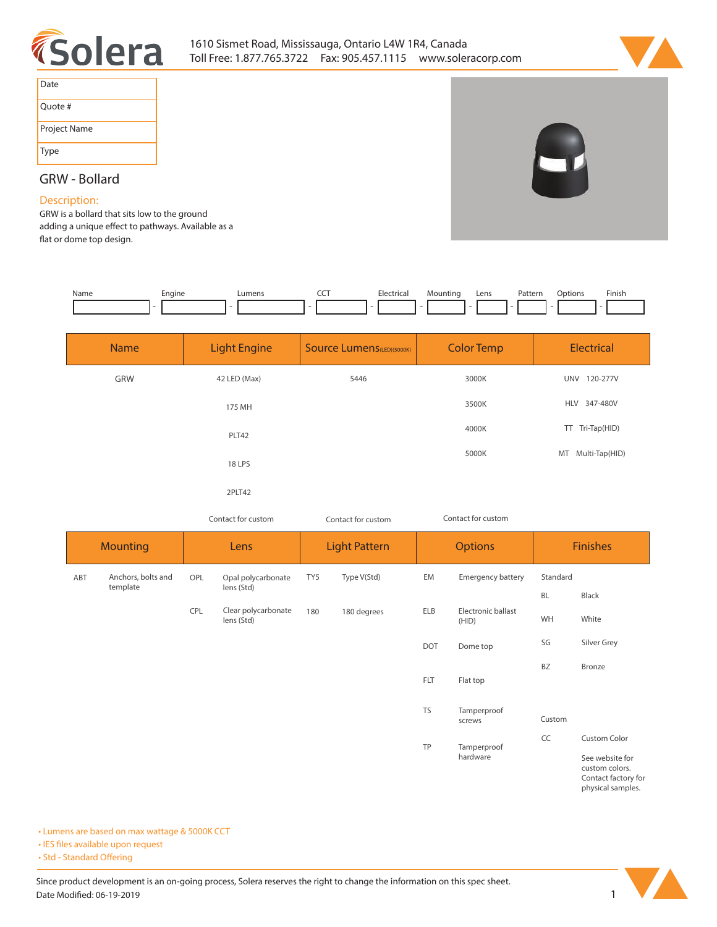



| Date         |
|--------------|
| Quote #      |
| Project Name |
| Type         |

## **GRW - Bollard**

## **Description:**

**GRW is a bollard that sits low to the ground**  adding a unique effect to pathways. Available as a flat or dome top design.

| Name | Engine<br>-- | IIMan | Electrical<br>1 L.C | Mountinc<br>- | Lens | Pattern<br>. | )ptions | <b>Finish</b> |
|------|--------------|-------|---------------------|---------------|------|--------------|---------|---------------|
|      |              |       |                     |               |      |              |         |               |

| <b>Name</b> | <b>Light Engine</b> | <b>Source Lumens (LED)(5000K)</b> | <b>Color Temp</b> |                        |
|-------------|---------------------|-----------------------------------|-------------------|------------------------|
| GRW         | 42 LED (Max)        | 5446                              | 3000K             | 120-277V<br><b>UNV</b> |
|             | 175 MH              |                                   | 3500K             | HLV 347-480V           |
|             | PLT42               |                                   | 4000K             | TT Tri-Tap(HID)        |
|             | 18 LPS              |                                   | 5000K             | MT Multi-Tap(HID)      |
|             | 2PLT42              |                                   |                   |                        |

*Contact for custom Contact for custom*

| וטו כעגנטווו |  |
|--------------|--|
|              |  |
|              |  |

*Contact for custom*

| <b>Mounting</b> |                                | Lens |                                   | <b>Light Pattern</b> |             | <b>Options</b> |                             | <b>Finishes</b> |                                                                               |
|-----------------|--------------------------------|------|-----------------------------------|----------------------|-------------|----------------|-----------------------------|-----------------|-------------------------------------------------------------------------------|
| ABT             | Anchors, bolts and<br>template | OPL  | Opal polycarbonate<br>lens (Std)  | TY5                  | Type V(Std) | EM             | <b>Emergency battery</b>    | Standard        |                                                                               |
|                 |                                |      |                                   |                      |             |                |                             | <b>BL</b>       | Black                                                                         |
|                 |                                | CPL  | Clear polycarbonate<br>lens (Std) | 180                  | 180 degrees | <b>ELB</b>     | Electronic ballast<br>(HID) | WH              | White                                                                         |
|                 |                                |      |                                   |                      |             | <b>DOT</b>     | Dome top                    | SG              | Silver Grey                                                                   |
|                 |                                |      |                                   |                      |             |                |                             | <b>BZ</b>       | Bronze                                                                        |
|                 |                                |      |                                   |                      |             | <b>FLT</b>     | Flat top                    |                 |                                                                               |
|                 |                                |      |                                   |                      |             | <b>TS</b>      | Tamperproof<br>screws       | Custom          |                                                                               |
|                 |                                |      |                                   |                      |             | TP             | Tamperproof                 | CC              | Custom Color                                                                  |
|                 |                                |      |                                   |                      |             |                | hardware                    |                 | See website for<br>custom colors.<br>Contact factory for<br>physical samples. |

**• Lumens are based on max wattage & 5000K CCT**

**• IES files available upon request** 

• Std - Standard Offering